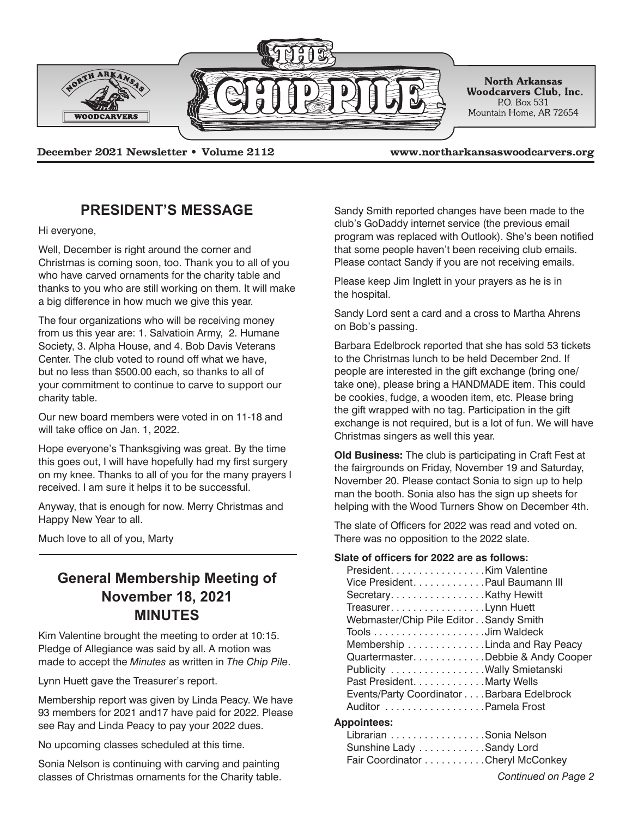

**December 2021 Newsletter • Volume 2112 www.northarkansaswoodcarvers.org**

## **PRESIDENT'S MESSAGE**

Hi everyone,

Well, December is right around the corner and Christmas is coming soon, too. Thank you to all of you who have carved ornaments for the charity table and thanks to you who are still working on them. It will make a big difference in how much we give this year.

The four organizations who will be receiving money from us this year are: 1. Salvatioin Army, 2. Humane Society, 3. Alpha House, and 4. Bob Davis Veterans Center. The club voted to round off what we have, but no less than \$500.00 each, so thanks to all of your commitment to continue to carve to support our charity table.

Our new board members were voted in on 11-18 and will take office on Jan. 1, 2022.

Hope everyone's Thanksgiving was great. By the time this goes out, I will have hopefully had my first surgery on my knee. Thanks to all of you for the many prayers I received. I am sure it helps it to be successful.

Anyway, that is enough for now. Merry Christmas and Happy New Year to all.

Much love to all of you, Marty

# **General Membership Meeting of November 18, 2021 MINUTES**

Kim Valentine brought the meeting to order at 10:15. Pledge of Allegiance was said by all. A motion was made to accept the *Minutes* as written in *The Chip Pile*.

Lynn Huett gave the Treasurer's report.

Membership report was given by Linda Peacy. We have 93 members for 2021 and17 have paid for 2022. Please see Ray and Linda Peacy to pay your 2022 dues.

No upcoming classes scheduled at this time.

Sonia Nelson is continuing with carving and painting classes of Christmas ornaments for the Charity table. *Continued on Page 2*

Sandy Smith reported changes have been made to the club's GoDaddy internet service (the previous email program was replaced with Outlook). She's been notified that some people haven't been receiving club emails. Please contact Sandy if you are not receiving emails.

Please keep Jim Inglett in your prayers as he is in the hospital.

Sandy Lord sent a card and a cross to Martha Ahrens on Bob's passing.

Barbara Edelbrock reported that she has sold 53 tickets to the Christmas lunch to be held December 2nd. If people are interested in the gift exchange (bring one/ take one), please bring a HANDMADE item. This could be cookies, fudge, a wooden item, etc. Please bring the gift wrapped with no tag. Participation in the gift exchange is not required, but is a lot of fun. We will have Christmas singers as well this year.

**Old Business:** The club is participating in Craft Fest at the fairgrounds on Friday, November 19 and Saturday, November 20. Please contact Sonia to sign up to help man the booth. Sonia also has the sign up sheets for helping with the Wood Turners Show on December 4th.

The slate of Officers for 2022 was read and voted on. There was no opposition to the 2022 slate.

### **Slate of officers for 2022 are as follows:**

| PresidentKim Valentine                     |
|--------------------------------------------|
| Vice President. Paul Baumann III           |
| Secretary. Kathy Hewitt                    |
| Treasurer. Lynn Huett                      |
| Webmaster/Chip Pile Editor Sandy Smith     |
|                                            |
| Membership Linda and Ray Peacy             |
| Quartermaster. Debbie & Andy Cooper        |
| Publicity Wally Smietanski                 |
| Past President. Marty Wells                |
| Events/Party Coordinator Barbara Edelbrock |
| Auditor Pamela Frost                       |
|                                            |

### **Appointees:**

Librarian . . . . . . . . . . . . . . . . Sonia Nelson Sunshine Lady . . . . . . . . . . . . Sandy Lord Fair Coordinator . . . . . . . . . . . Cheryl McConkey